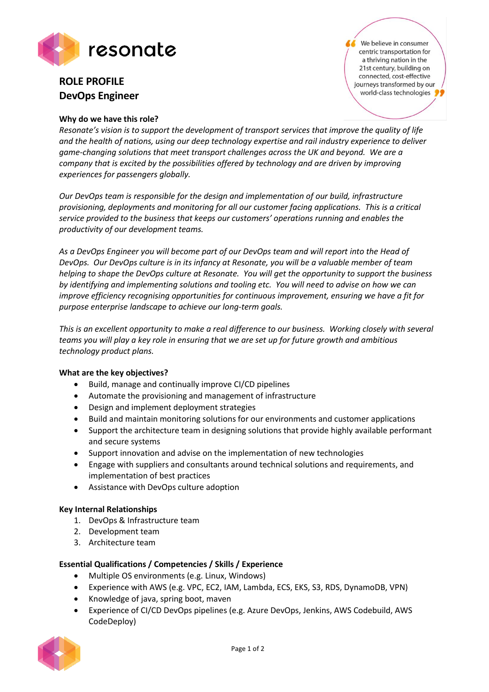

# **ROLE PROFILE DevOps Engineer**

## **Why do we have this role?**

We believe in consumer centric transportation for a thriving nation in the 21st century, building on connected, cost-effective journeys transformed by our world-class technologies

*Resonate's vision is to support the development of transport services that improve the quality of life and the health of nations, using our deep technology expertise and rail industry experience to deliver game-changing solutions that meet transport challenges across the UK and beyond. We are a company that is excited by the possibilities offered by technology and are driven by improving experiences for passengers globally.*

*Our DevOps team is responsible for the design and implementation of our build, infrastructure provisioning, deployments and monitoring for all our customer facing applications. This is a critical service provided to the business that keeps our customers' operations running and enables the productivity of our development teams.*

*As a DevOps Engineer you will become part of our DevOps team and will report into the Head of DevOps. Our DevOps culture is in its infancy at Resonate, you will be a valuable member of team helping to shape the DevOps culture at Resonate. You will get the opportunity to support the business by identifying and implementing solutions and tooling etc. You will need to advise on how we can improve efficiency recognising opportunities for continuous improvement, ensuring we have a fit for purpose enterprise landscape to achieve our long-term goals.*

*This is an excellent opportunity to make a real difference to our business. Working closely with several teams you will play a key role in ensuring that we are set up for future growth and ambitious technology product plans.*

#### **What are the key objectives?**

- Build, manage and continually improve CI/CD pipelines
- Automate the provisioning and management of infrastructure
- Design and implement deployment strategies
- Build and maintain monitoring solutions for our environments and customer applications
- Support the architecture team in designing solutions that provide highly available performant and secure systems
- Support innovation and advise on the implementation of new technologies
- Engage with suppliers and consultants around technical solutions and requirements, and implementation of best practices
- Assistance with DevOps culture adoption

#### **Key Internal Relationships**

- 1. DevOps & Infrastructure team
- 2. Development team
- 3. Architecture team

# **Essential Qualifications / Competencies / Skills / Experience**

- Multiple OS environments (e.g. Linux, Windows)
- Experience with AWS (e.g. VPC, EC2, IAM, Lambda, ECS, EKS, S3, RDS, DynamoDB, VPN)
- Knowledge of java, spring boot, maven
- Experience of CI/CD DevOps pipelines (e.g. Azure DevOps, Jenkins, AWS Codebuild, AWS CodeDeploy)